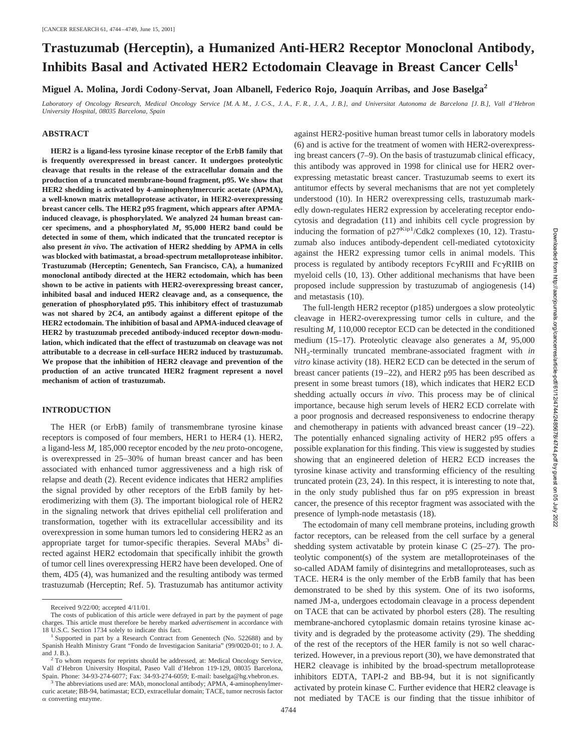# **Trastuzumab (Herceptin), a Humanized Anti-HER2 Receptor Monoclonal Antibody, Inhibits Basal and Activated HER2 Ectodomain Cleavage in Breast Cancer Cells<sup>1</sup>**

**Miguel A. Molina, Jordi Codony-Servat, Joan Albanell, Federico Rojo, Joaquı´n Arribas, and Jose Baselga2**

*Laboratory of Oncology Research, Medical Oncology Service [M. A. M., J. C-S., J. A., F. R., J. A., J. B.], and Universitat Autonoma de Barcelona [J. B.], Vall d'Hebron University Hospital, 08035 Barcelona, Spain*

## **ABSTRACT**

**HER2 is a ligand-less tyrosine kinase receptor of the ErbB family that is frequently overexpressed in breast cancer. It undergoes proteolytic cleavage that results in the release of the extracellular domain and the production of a truncated membrane-bound fragment, p95. We show that HER2 shedding is activated by 4-aminophenylmercuric acetate (APMA), a well-known matrix metalloprotease activator, in HER2-overexpressing breast cancer cells. The HER2 p95 fragment, which appears after APMAinduced cleavage, is phosphorylated. We analyzed 24 human breast cancer specimens, and a phosphorylated** *M***<sup>r</sup> 95,000 HER2 band could be detected in some of them, which indicated that the truncated receptor is also present** *in vivo***. The activation of HER2 shedding by APMA in cells was blocked with batimastat, a broad-spectrum metalloprotease inhibitor. Trastuzumab (Herceptin; Genentech, San Francisco, CA), a humanized monoclonal antibody directed at the HER2 ectodomain, which has been shown to be active in patients with HER2-overexpressing breast cancer, inhibited basal and induced HER2 cleavage and, as a consequence, the generation of phosphorylated p95. This inhibitory effect of trastuzumab was not shared by 2C4, an antibody against a different epitope of the HER2 ectodomain. The inhibition of basal and APMA-induced cleavage of HER2 by trastuzumab preceded antibody-induced receptor down-modulation, which indicated that the effect of trastuzumab on cleavage was not attributable to a decrease in cell-surface HER2 induced by trastuzumab. We propose that the inhibition of HER2 cleavage and prevention of the production of an active truncated HER2 fragment represent a novel mechanism of action of trastuzumab.**

### **INTRODUCTION**

The HER (or ErbB) family of transmembrane tyrosine kinase receptors is composed of four members, HER1 to HER4 (1). HER2, a ligand-less *M*<sup>r</sup> 185,000 receptor encoded by the *neu* proto-oncogene, is overexpressed in 25–30% of human breast cancer and has been associated with enhanced tumor aggressiveness and a high risk of relapse and death (2). Recent evidence indicates that HER2 amplifies the signal provided by other receptors of the ErbB family by heterodimerizing with them (3). The important biological role of HER2 in the signaling network that drives epithelial cell proliferation and transformation, together with its extracellular accessibility and its overexpression in some human tumors led to considering HER2 as an appropriate target for tumor-specific therapies. Several MAbs<sup>3</sup> directed against HER2 ectodomain that specifically inhibit the growth of tumor cell lines overexpressing HER2 have been developed. One of them, 4D5 (4), was humanized and the resulting antibody was termed trastuzumab (Herceptin; Ref. 5). Trastuzumab has antitumor activity

against HER2-positive human breast tumor cells in laboratory models (6) and is active for the treatment of women with HER2-overexpressing breast cancers (7–9). On the basis of trastuzumab clinical efficacy, this antibody was approved in 1998 for clinical use for HER2 overexpressing metastatic breast cancer. Trastuzumab seems to exert its antitumor effects by several mechanisms that are not yet completely understood (10). In HER2 overexpressing cells, trastuzumab markedly down-regulates HER2 expression by accelerating receptor endocytosis and degradation (11) and inhibits cell cycle progression by inducing the formation of  $p27^{Kip1}/Cdk2$  complexes (10, 12). Trastuzumab also induces antibody-dependent cell-mediated cytotoxicity against the HER2 expressing tumor cells in animal models. This process is regulated by antibody receptors  $Fc\gamma RIII$  and  $Fc\gamma RIIB$  on myeloid cells (10, 13). Other additional mechanisms that have been proposed include suppression by trastuzumab of angiogenesis (14) and metastasis (10).

The full-length HER2 receptor (p185) undergoes a slow proteolytic cleavage in HER2-overexpressing tumor cells in culture, and the resulting  $M_r$  110,000 receptor ECD can be detected in the conditioned medium (15–17). Proteolytic cleavage also generates a  $M_r$  95,000 NH2-terminally truncated membrane-associated fragment with *in vitro* kinase activity (18). HER2 ECD can be detected in the serum of breast cancer patients (19–22), and HER2 p95 has been described as present in some breast tumors (18), which indicates that HER2 ECD shedding actually occurs *in vivo*. This process may be of clinical importance, because high serum levels of HER2 ECD correlate with a poor prognosis and decreased responsiveness to endocrine therapy and chemotherapy in patients with advanced breast cancer (19–22). The potentially enhanced signaling activity of HER2 p95 offers a possible explanation for this finding. This view is suggested by studies showing that an engineered deletion of HER2 ECD increases the tyrosine kinase activity and transforming efficiency of the resulting truncated protein (23, 24). In this respect, it is interesting to note that, in the only study published thus far on p95 expression in breast cancer, the presence of this receptor fragment was associated with the presence of lymph-node metastasis (18).

The ectodomain of many cell membrane proteins, including growth factor receptors, can be released from the cell surface by a general shedding system activatable by protein kinase C (25–27). The proteolytic component(s) of the system are metalloproteinases of the so-called ADAM family of disintegrins and metalloproteases, such as TACE. HER4 is the only member of the ErbB family that has been demonstrated to be shed by this system. One of its two isoforms, named JM-a, undergoes ectodomain cleavage in a process dependent on TACE that can be activated by phorbol esters (28). The resulting membrane-anchored cytoplasmic domain retains tyrosine kinase activity and is degraded by the proteasome activity (29). The shedding of the rest of the receptors of the HER family is not so well characterized. However, in a previous report (30), we have demonstrated that HER2 cleavage is inhibited by the broad-spectrum metalloprotease inhibitors EDTA, TAPI-2 and BB-94, but it is not significantly activated by protein kinase C. Further evidence that HER2 cleavage is not mediated by TACE is our finding that the tissue inhibitor of

Received 9/22/00; accepted 4/11/01.

The costs of publication of this article were defrayed in part by the payment of page charges. This article must therefore be hereby marked *advertisement* in accordance with 18 U.S.C. Section 1734 solely to indicate this fact. <sup>1</sup> Supported in part by a Research Contract from Genentech (No. 522688) and by

Spanish Health Ministry Grant "Fondo de Investigacion Sanitaria" (99/0020-01; to J. A. and J. B.). <sup>2</sup> To whom requests for reprints should be addressed, at: Medical Oncology Service,

Vall d'Hebron University Hospital, Paseo Vall d'Hebron 119-129, 08035 Barcelona, Spain. Phone: 34-93-274-6077; Fax: 34-93-274-6059; E-mail: baselga@hg.vhebron.es.

<sup>&</sup>lt;sup>3</sup> The abbreviations used are: MAb, monoclonal antibody; APMA, 4-aminophenylmercuric acetate; BB-94, batimastat; ECD, extracellular domain; TACE, tumor necrosis factor  $\alpha$  converting enzyme.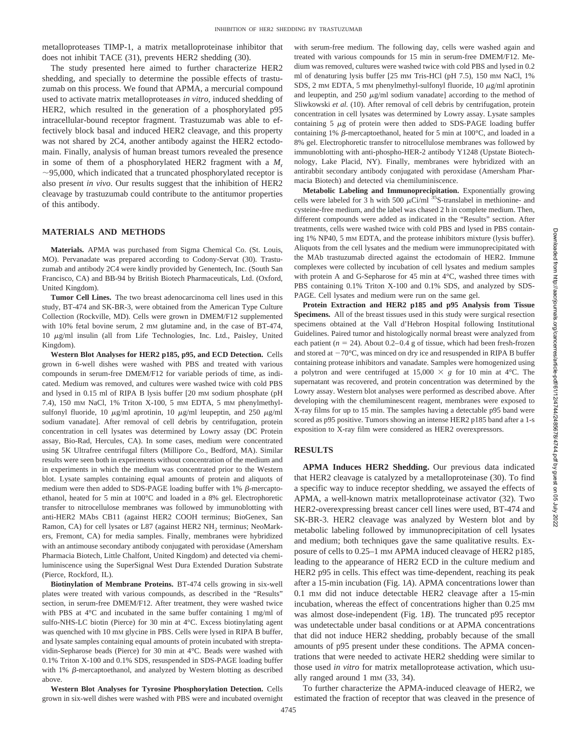metalloproteases TIMP-1, a matrix metalloproteinase inhibitor that does not inhibit TACE (31), prevents HER2 shedding (30).

The study presented here aimed to further characterize HER2 shedding, and specially to determine the possible effects of trastuzumab on this process. We found that APMA, a mercurial compound used to activate matrix metalloproteases *in vitro*, induced shedding of HER2, which resulted in the generation of a phosphorylated p95 intracellular-bound receptor fragment. Trastuzumab was able to effectively block basal and induced HER2 cleavage, and this property was not shared by 2C4, another antibody against the HER2 ectodomain. Finally, analysis of human breast tumors revealed the presence in some of them of a phosphorylated HER2 fragment with a *M*<sup>r</sup>  $\sim$ 95,000, which indicated that a truncated phosphorylated receptor is also present *in vivo*. Our results suggest that the inhibition of HER2 cleavage by trastuzumab could contribute to the antitumor properties of this antibody.

### **MATERIALS AND METHODS**

**Materials.** APMA was purchased from Sigma Chemical Co. (St. Louis, MO). Pervanadate was prepared according to Codony-Servat (30). Trastuzumab and antibody 2C4 were kindly provided by Genentech, Inc. (South San Francisco, CA) and BB-94 by British Biotech Pharmaceuticals, Ltd. (Oxford, United Kingdom).

**Tumor Cell Lines.** The two breast adenocarcinoma cell lines used in this study, BT-474 and SK-BR-3, were obtained from the American Type Culture Collection (Rockville, MD). Cells were grown in DMEM/F12 supplemented with 10% fetal bovine serum, 2 mm glutamine and, in the case of BT-474, 10 <sup>m</sup>g/ml insulin (all from Life Technologies, Inc. Ltd., Paisley, United Kingdom).

**Western Blot Analyses for HER2 p185, p95, and ECD Detection.** Cells grown in 6-well dishes were washed with PBS and treated with various compounds in serum-free DMEM/F12 for variable periods of time, as indicated. Medium was removed, and cultures were washed twice with cold PBS and lysed in 0.15 ml of RIPA B lysis buffer [20 mM sodium phosphate (pH 7.4), 150 mM NaCl, 1% Triton X-100, 5 mM EDTA, 5 mM phenylmethylsulfonyl fluoride, 10  $\mu$ g/ml aprotinin, 10  $\mu$ g/ml leupeptin, and 250  $\mu$ g/ml sodium vanadate]. After removal of cell debris by centrifugation, protein concentration in cell lysates was determined by Lowry assay (DC Protein assay, Bio-Rad, Hercules, CA). In some cases, medium were concentrated using 5K Ultrafree centrifugal filters (Millipore Co., Bedford, MA). Similar results were seen both in experiments without concentration of the medium and in experiments in which the medium was concentrated prior to the Western blot. Lysate samples containing equal amounts of protein and aliquots of medium were then added to SDS-PAGE loading buffer with 1%  $\beta$ -mercaptoethanol, heated for 5 min at 100°C and loaded in a 8% gel. Electrophoretic transfer to nitrocellulose membranes was followed by immunoblotting with anti-HER2 MAbs CB11 (against HER2 COOH terminus; BioGenex, San Ramon, CA) for cell lysates or L87 (against HER2 NH<sub>2</sub> terminus; NeoMarkers, Fremont, CA) for media samples. Finally, membranes were hybridized with an antimouse secondary antibody conjugated with peroxidase (Amersham Pharmacia Biotech, Little Chalfont, United Kingdom) and detected via chemiluminiscence using the SuperSignal West Dura Extended Duration Substrate (Pierce, Rockford, IL).

**Biotinylation of Membrane Proteins.** BT-474 cells growing in six-well plates were treated with various compounds, as described in the "Results" section, in serum-free DMEM/F12. After treatment, they were washed twice with PBS at 4°C and incubated in the same buffer containing 1 mg/ml of sulfo-NHS-LC biotin (Pierce) for 30 min at 4°C. Excess biotinylating agent was quenched with 10 mM glycine in PBS. Cells were lysed in RIPA B buffer, and lysate samples containing equal amounts of protein incubated with streptavidin-Sepharose beads (Pierce) for 30 min at 4°C. Beads were washed with 0.1% Triton X-100 and 0.1% SDS, resuspended in SDS-PAGE loading buffer with  $1\%$   $\beta$ -mercaptoethanol, and analyzed by Western blotting as described above.

**Western Blot Analyses for Tyrosine Phosphorylation Detection.** Cells grown in six-well dishes were washed with PBS were and incubated overnight with serum-free medium. The following day, cells were washed again and treated with various compounds for 15 min in serum-free DMEM/F12. Medium was removed, cultures were washed twice with cold PBS and lysed in 0.2 ml of denaturing lysis buffer [25 mM Tris-HCl (pH 7.5), 150 mM NaCl, 1% SDS, 2 mM EDTA, 5 mM phenylmethyl-sulfonyl fluoride, 10  $\mu$ g/ml aprotinin and leupeptin, and  $250 \mu g/ml$  sodium vanadate] according to the method of Sliwkowski *et al.* (10). After removal of cell debris by centrifugation, protein concentration in cell lysates was determined by Lowry assay. Lysate samples containing  $5 \mu g$  of protein were then added to SDS-PAGE loading buffer containing 1%  $\beta$ -mercaptoethanol, heated for 5 min at 100°C, and loaded in a 8% gel. Electrophoretic transfer to nitrocellulose membranes was followed by immunoblotting with anti-phospho-HER-2 antibody Y1248 (Upstate Biotechnology, Lake Placid, NY). Finally, membranes were hybridized with an antirabbit secondary antibody conjugated with peroxidase (Amersham Pharmacia Biotech) and detected via chemiluminiscence.

**Metabolic Labeling and Immunoprecipitation.** Exponentially growing cells were labeled for 3 h with 500  $\mu$ Ci/ml <sup>35</sup>S-translabel in methionine- and cysteine-free medium, and the label was chased 2 h in complete medium. Then, different compounds were added as indicated in the "Results" section. After treatments, cells were washed twice with cold PBS and lysed in PBS containing 1% NP40, 5 mM EDTA, and the protease inhibitors mixture (lysis buffer). Aliquots from the cell lysates and the medium were immunoprecipitated with the MAb trastuzumab directed against the ectodomain of HER2. Immune complexes were collected by incubation of cell lysates and medium samples with protein A and G-Sepharose for 45 min at 4°C, washed three times with PBS containing 0.1% Triton X-100 and 0.1% SDS, and analyzed by SDS-PAGE. Cell lysates and medium were run on the same gel.

**Protein Extraction and HER2 p185 and p95 Analysis from Tissue Specimens.** All of the breast tissues used in this study were surgical resection specimens obtained at the Vall d'Hebron Hospital following Institutional Guidelines. Paired tumor and histologically normal breast were analyzed from each patient ( $n = 24$ ). About 0.2–0.4 g of tissue, which had been fresh-frozen and stored at  $-70^{\circ}$ C, was minced on dry ice and resuspended in RIPA B buffer containing protease inhibitors and vanadate. Samples were homogenized using a polytron and were centrifuged at  $15,000 \times g$  for 10 min at 4°C. The supernatant was recovered, and protein concentration was determined by the Lowry assay. Western blot analyses were performed as described above. After developing with the chemiluminescent reagent, membranes were exposed to X-ray films for up to 15 min. The samples having a detectable p95 band were scored as p95 positive. Tumors showing an intense HER2 p185 band after a 1-s exposition to X-ray film were considered as HER2 overexpressors.

## **RESULTS**

**APMA Induces HER2 Shedding.** Our previous data indicated that HER2 cleavage is catalyzed by a metalloproteinase (30). To find a specific way to induce receptor shedding, we assayed the effects of APMA, a well-known matrix metalloproteinase activator (32). Two HER2-overexpressing breast cancer cell lines were used, BT-474 and SK-BR-3. HER2 cleavage was analyzed by Western blot and by metabolic labeling followed by immunoprecipitation of cell lysates and medium; both techniques gave the same qualitative results. Exposure of cells to 0.25–1 mM APMA induced cleavage of HER2 p185, leading to the appearance of HER2 ECD in the culture medium and HER2 p95 in cells. This effect was time-dependent, reaching its peak after a 15-min incubation (Fig. 1*A*). APMA concentrations lower than 0.1 mM did not induce detectable HER2 cleavage after a 15-min incubation, whereas the effect of concentrations higher than  $0.25$  mm was almost dose-independent (Fig. 1*B*). The truncated p95 receptor was undetectable under basal conditions or at APMA concentrations that did not induce HER2 shedding, probably because of the small amounts of p95 present under these conditions. The APMA concentrations that were needed to activate HER2 shedding were similar to those used *in vitro* for matrix metalloprotease activation, which usually ranged around 1 mM (33, 34).

To further characterize the APMA-induced cleavage of HER2, we estimated the fraction of receptor that was cleaved in the presence of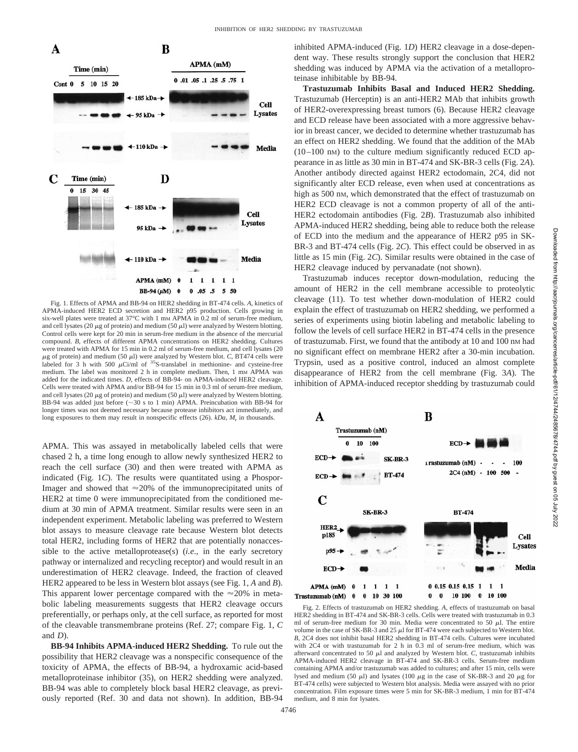

Fig. 1. Effects of APMA and BB-94 on HER2 shedding in BT-474 cells. *A*, kinetics of APMA-induced HER2 ECD secretion and HER2 p95 production. Cells growing in six-well plates were treated at 37°C with 1 mm APMA in 0.2 ml of serum-free medium, and cell lysates (20  $\mu$ g of protein) and medium (50  $\mu$ l) were analyzed by Western blotting. Control cells were kept for 20 min in serum-free medium in the absence of the mercurial compound. *B*, effects of different APMA concentrations on HER2 shedding. Cultures were treated with APMA for 15 min in 0.2 ml of serum-free medium, and cell lysates (20  $\mu$ g of protein) and medium (50  $\mu$ l) were analyzed by Western blot. *C*, BT474 cells were labeled for 3 h with 500  $\mu$ Ci/ml of <sup>35</sup>S-translabel in methionine- and cysteine-free medium. The label was monitored 2 h in complete medium. Then, 1 mm APMA was added for the indicated times. *D*, effects of BB-94- on APMA-induced HER2 cleavage. Cells were treated with APMA and/or BB-94 for 15 min in 0.3 ml of serum-free medium, and cell lysates (20  $\mu$ g of protein) and medium (50  $\mu$ l) were analyzed by Western blotting. BB-94 was added just before  $(\sim 30 \text{ s to 1 min})$  APMA. Preincubation with BB-94 for longer times was not deemed necessary because protease inhibitors act immediately, and long exposures to them may result in nonspecific effects (26). *kDa*,  $M_r$  in thousands.

APMA. This was assayed in metabolically labeled cells that were chased 2 h, a time long enough to allow newly synthesized HER2 to reach the cell surface (30) and then were treated with APMA as indicated (Fig. 1*C*). The results were quantitated using a Phospor-Imager and showed that  $\approx$  20% of the immunoprecipitated units of HER2 at time 0 were immunoprecipitated from the conditioned medium at 30 min of APMA treatment. Similar results were seen in an independent experiment. Metabolic labeling was preferred to Western blot assays to measure cleavage rate because Western blot detects total HER2, including forms of HER2 that are potentially nonaccessible to the active metalloprotease(s) (*i.e*.*,* in the early secretory pathway or internalized and recycling receptor) and would result in an underestimation of HER2 cleavage. Indeed, the fraction of cleaved HER2 appeared to be less in Western blot assays (see Fig. 1, *A* and *B*). This apparent lower percentage compared with the  $\approx$ 20% in metabolic labeling measurements suggests that HER2 cleavage occurs preferentially, or perhaps only, at the cell surface, as reported for most of the cleavable transmembrane proteins (Ref. 27; compare Fig. 1, *C* and *D*).

**BB-94 Inhibits APMA-induced HER2 Shedding.** To rule out the possibility that HER2 cleavage was a nonspecific consequence of the toxicity of APMA, the effects of BB-94, a hydroxamic acid-based metalloproteinase inhibitor (35), on HER2 shedding were analyzed. BB-94 was able to completely block basal HER2 cleavage, as previously reported (Ref. 30 and data not shown). In addition, BB-94 inhibited APMA-induced (Fig. 1*D*) HER2 cleavage in a dose-dependent way. These results strongly support the conclusion that HER2 shedding was induced by APMA via the activation of a metalloproteinase inhibitable by BB-94.

**Trastuzumab Inhibits Basal and Induced HER2 Shedding.** Trastuzumab (Herceptin) is an anti-HER2 MAb that inhibits growth of HER2-overexpressing breast tumors (6). Because HER2 cleavage and ECD release have been associated with a more aggressive behavior in breast cancer, we decided to determine whether trastuzumab has an effect on HER2 shedding. We found that the addition of the MAb (10–100 nM) to the culture medium significantly reduced ECD appearance in as little as 30 min in BT-474 and SK-BR-3 cells (Fig. 2*A*). Another antibody directed against HER2 ectodomain, 2C4, did not significantly alter ECD release, even when used at concentrations as high as 500 nM, which demonstrated that the effect of trastuzumab on HER2 ECD cleavage is not a common property of all of the anti-HER2 ectodomain antibodies (Fig. 2*B*). Trastuzumab also inhibited APMA-induced HER2 shedding, being able to reduce both the release of ECD into the medium and the appearance of HER2 p95 in SK-BR-3 and BT-474 cells (Fig. 2*C*). This effect could be observed in as little as 15 min (Fig. 2*C*). Similar results were obtained in the case of HER2 cleavage induced by pervanadate (not shown).

Trastuzumab induces receptor down-modulation, reducing the amount of HER2 in the cell membrane accessible to proteolytic cleavage (11). To test whether down-modulation of HER2 could explain the effect of trastuzumab on HER2 shedding, we performed a series of experiments using biotin labeling and metabolic labeling to follow the levels of cell surface HER2 in BT-474 cells in the presence of trastuzumab. First, we found that the antibody at 10 and 100 nM had no significant effect on membrane HER2 after a 30-min incubation. Trypsin, used as a positive control, induced an almost complete disappearance of HER2 from the cell membrane (Fig. 3*A*). The inhibition of APMA-induced receptor shedding by trastuzumab could



Fig. 2. Effects of trastuzumab on HER2 shedding. *A*, effects of trastuzumab on basal HER2 shedding in BT-474 and SK-BR-3 cells. Cells were treated with trastuzumab in 0.3 ml of serum-free medium for 30 min. Media were concentrated to 50  $\mu$ l. The entire volume in the case of SK-BR-3 and 25  $\mu$ l for BT-474 were each subjected to Western blot. *B*, 2C4 does not inhibit basal HER2 shedding in BT-474 cells. Cultures were incubated with 2C4 or with trastuzumab for 2 h in 0.3 ml of serum-free medium, which was afterward concentrated to 50  $\mu$ l and analyzed by Western blot. *C*, trastuzumab inhibits APMA-induced HER2 cleavage in BT-474 and SK-BR-3 cells. Serum-free medium containing APMA and/or trastuzumab was added to cultures; and after 15 min, cells were lysed and medium (50  $\mu$ l) and lysates (100  $\mu$ g in the case of SK-BR-3 and 20  $\mu$ g for BT-474 cells) were subjected to Western blot analysis. Media were assayed with no prior concentration. Film exposure times were 5 min for SK-BR-3 medium, 1 min for BT-474 medium, and 8 min for lysates.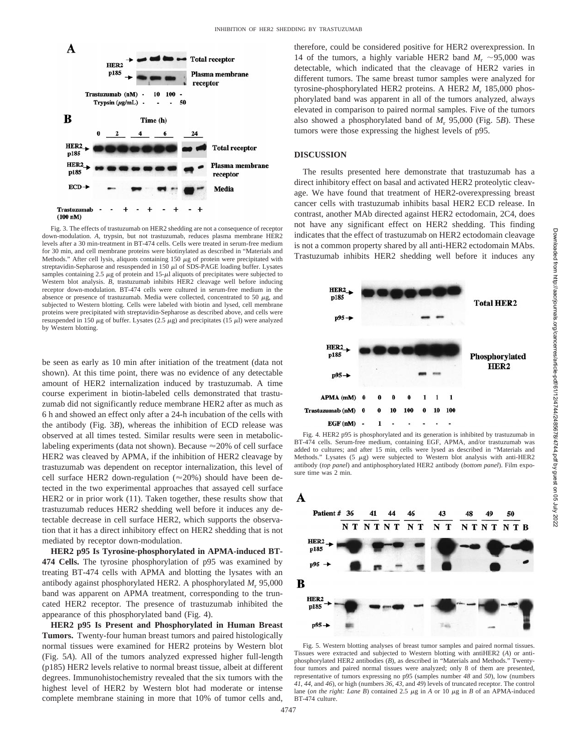

Fig. 3. The effects of trastuzumab on HER2 shedding are not a consequence of receptor down-modulation. *A*, trypsin, but not trastuzumab, reduces plasma membrane HER2 levels after a 30 min-treatment in BT-474 cells. Cells were treated in serum-free medium for 30 min, and cell membrane proteins were biotinylated as described in "Materials and Methods." After cell lysis, aliquots containing 150  $\mu$ g of protein were precipitated with streptavidin-Sepharose and resuspended in 150  $\mu$ l of SDS-PAGE loading buffer. Lysates samples containing 2.5  $\mu$ g of protein and 15- $\mu$ l aliquots of precipitates were subjected to Western blot analysis. *B*, trastuzumab inhibits HER2 cleavage well before inducing receptor down-modulation. BT-474 cells were cultured in serum-free medium in the absence or presence of trastuzumab. Media were collected, concentrated to 50  $\mu$ g, and subjected to Western blotting. Cells were labeled with biotin and lysed, cell membrane proteins were precipitated with streptavidin-Sepharose as described above, and cells were resuspended in 150  $\mu$ g of buffer. Lysates (2.5  $\mu$ g) and precipitates (15  $\mu$ l) were analyzed by Western blotting.

be seen as early as 10 min after initiation of the treatment (data not shown). At this time point, there was no evidence of any detectable amount of HER2 internalization induced by trastuzumab. A time course experiment in biotin-labeled cells demonstrated that trastuzumab did not significantly reduce membrane HER2 after as much as 6 h and showed an effect only after a 24-h incubation of the cells with the antibody (Fig. 3*B*), whereas the inhibition of ECD release was observed at all times tested. Similar results were seen in metaboliclabeling experiments (data not shown). Because  $\approx$  20% of cell surface HER2 was cleaved by APMA, if the inhibition of HER2 cleavage by trastuzumab was dependent on receptor internalization, this level of cell surface HER2 down-regulation ( $\approx$ 20%) should have been detected in the two experimental approaches that assayed cell surface HER2 or in prior work (11). Taken together, these results show that trastuzumab reduces HER2 shedding well before it induces any detectable decrease in cell surface HER2, which supports the observation that it has a direct inhibitory effect on HER2 shedding that is not mediated by receptor down-modulation.

**HER2 p95 Is Tyrosine-phosphorylated in APMA-induced BT-474 Cells.** The tyrosine phosphorylation of p95 was examined by treating BT-474 cells with APMA and blotting the lysates with an antibody against phosphorylated HER2. A phosphorylated  $M_r$  95,000 band was apparent on APMA treatment, corresponding to the truncated HER2 receptor. The presence of trastuzumab inhibited the appearance of this phosphorylated band (Fig. 4).

**HER2 p95 Is Present and Phosphorylated in Human Breast Tumors.** Twenty-four human breast tumors and paired histologically normal tissues were examined for HER2 proteins by Western blot (Fig. 5*A*). All of the tumors analyzed expressed higher full-length (p185) HER2 levels relative to normal breast tissue, albeit at different degrees. Immunohistochemistry revealed that the six tumors with the highest level of HER2 by Western blot had moderate or intense complete membrane staining in more that 10% of tumor cells and, therefore, could be considered positive for HER2 overexpression. In 14 of the tumors, a highly variable HER2 band  $M_r \sim 95,000$  was detectable, which indicated that the cleavage of HER2 varies in different tumors. The same breast tumor samples were analyzed for tyrosine-phosphorylated HER2 proteins. A HER2  $M_r$  185,000 phosphorylated band was apparent in all of the tumors analyzed, always elevated in comparison to paired normal samples. Five of the tumors also showed a phosphorylated band of *M*<sup>r</sup> 95,000 (Fig. 5*B*). These tumors were those expressing the highest levels of p95.

## **DISCUSSION**

The results presented here demonstrate that trastuzumab has a direct inhibitory effect on basal and activated HER2 proteolytic cleavage. We have found that treatment of HER2-overexpressing breast cancer cells with trastuzumab inhibits basal HER2 ECD release. In contrast, another MAb directed against HER2 ectodomain, 2C4, does not have any significant effect on HER2 shedding. This finding indicates that the effect of trastuzumab on HER2 ectodomain cleavage is not a common property shared by all anti-HER2 ectodomain MAbs. Trastuzumab inhibits HER2 shedding well before it induces any



Fig. 4. HER2 p95 is phosphorylated and its generation is inhibited by trastuzumab in BT-474 cells. Serum-free medium, containing EGF, APMA, and/or trastuzumab was added to cultures; and after 15 min, cells were lysed as described in "Materials and Methods." Lysates  $(5 \mu g)$  were subjected to Western blot analysis with anti-HER2 antibody (*top panel*) and antiphosphorylated HER2 antibody (*bottom panel*). Film exposure time was 2 min.



Fig. 5. Western blotting analyses of breast tumor samples and paired normal tissues. Tissues were extracted and subjected to Western blotting with antiHER2 (*A*) or antiphosphorylated HER2 antibodies (*B*), as described in "Materials and Methods." Twentyfour tumors and paired normal tissues were analyzed; only 8 of them are presented, representative of tumors expressing no p95 (samples number *48* and *50*), low (numbers *41*, *44*, and *46*), or high (numbers *36*, *43*, and *49*) levels of truncated receptor. The control lane (*on the right: Lane B*) contained 2.5  $\mu$ g in *A* or 10  $\mu$ g in *B* of an APMA-induced BT-474 culture.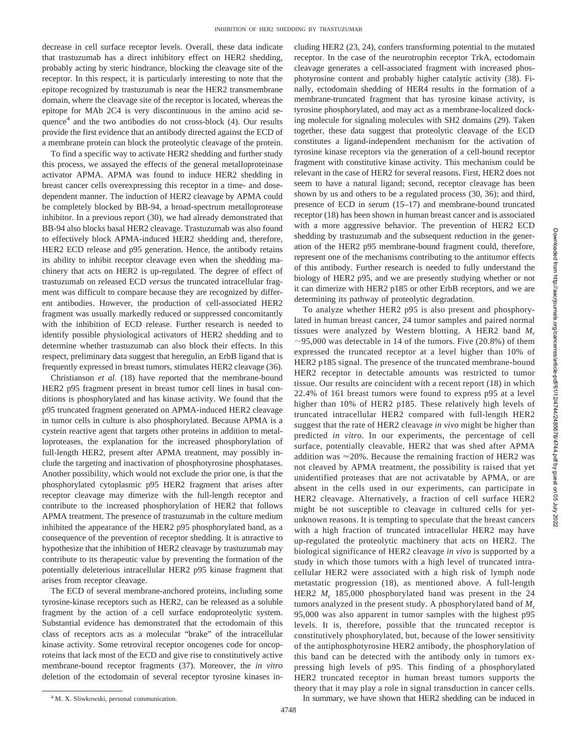decrease in cell surface receptor levels. Overall, these data indicate that trastuzumab has a direct inhibitory effect on HER2 shedding, probably acting by steric hindrance, blocking the cleavage site of the receptor. In this respect, it is particularly interesting to note that the epitope recognized by trastuzumab is near the HER2 transmembrane domain, where the cleavage site of the receptor is located, whereas the epitope for MAb 2C4 is very discontinuous in the amino acid sequence $4$  and the two antibodies do not cross-block (4). Our results provide the first evidence that an antibody directed against the ECD of a membrane protein can block the proteolytic cleavage of the protein.

To find a specific way to activate HER2 shedding and further study this process, we assayed the effects of the general metalloproteinase activator APMA. APMA was found to induce HER2 shedding in breast cancer cells overexpressing this receptor in a time- and dosedependent manner. The induction of HER2 cleavage by APMA could be completely blocked by BB-94, a broad-spectrum metalloprotease inhibitor. In a previous report (30), we had already demonstrated that BB-94 also blocks basal HER2 cleavage. Trastuzumab was also found to effectively block APMA-induced HER2 shedding and, therefore, HER2 ECD release and p95 generation. Hence, the antibody retains its ability to inhibit receptor cleavage even when the shedding machinery that acts on HER2 is up-regulated. The degree of effect of trastuzumab on released ECD *versus* the truncated intracellular fragment was difficult to compare because they are recognized by different antibodies. However, the production of cell-associated HER2 fragment was usually markedly reduced or suppressed concomitantly with the inhibition of ECD release. Further research is needed to identify possible physiological activators of HER2 shedding and to determine whether trastuzumab can also block their effects. In this respect, preliminary data suggest that heregulin, an ErbB ligand that is frequently expressed in breast tumors, stimulates HER2 cleavage (36).

Christianson *et al.* (18) have reported that the membrane-bound HER2 p95 fragment present in breast tumor cell lines in basal conditions is phosphorylated and has kinase activity. We found that the p95 truncated fragment generated on APMA-induced HER2 cleavage in tumor cells in culture is also phosphorylated. Because APMA is a cystein reactive agent that targets other proteins in addition to metalloproteases, the explanation for the increased phosphorylation of full-length HER2, present after APMA treatment, may possibly include the targeting and inactivation of phosphotyrosine phosphatases. Another possibility, which would not exclude the prior one, is that the phosphorylated cytoplasmic p95 HER2 fragment that arises after receptor cleavage may dimerize with the full-length receptor and contribute to the increased phosphorylation of HER2 that follows APMA treatment. The presence of trastuzumab in the culture medium inhibited the appearance of the HER2 p95 phosphorylated band, as a consequence of the prevention of receptor shedding. It is attractive to hypothesize that the inhibition of HER2 cleavage by trastuzumab may contribute to its therapeutic value by preventing the formation of the potentially deleterious intracellular HER2 p95 kinase fragment that arises from receptor cleavage.

The ECD of several membrane-anchored proteins, including some tyrosine-kinase receptors such as HER2, can be released as a soluble fragment by the action of a cell surface endoproteolytic system. Substantial evidence has demonstrated that the ectodomain of this class of receptors acts as a molecular "brake" of the intracellular kinase activity. Some retroviral receptor oncogenes code for oncoproteins that lack most of the ECD and give rise to constitutively active membrane-bound receptor fragments (37). Moreover, the *in vitro* deletion of the ectodomain of several receptor tyrosine kinases including HER2 (23, 24), confers transforming potential to the mutated receptor. In the case of the neurotrophin receptor TrkA, ectodomain cleavage generates a cell-associated fragment with increased phosphotyrosine content and probably higher catalytic activity (38). Finally, ectodomain shedding of HER4 results in the formation of a membrane-truncated fragment that has tyrosine kinase activity, is tyrosine phosphorylated, and may act as a membrane-localized docking molecule for signaling molecules with SH2 domains (29). Taken together, these data suggest that proteolytic cleavage of the ECD constitutes a ligand-independent mechanism for the activation of tyrosine kinase receptors via the generation of a cell-bound receptor fragment with constitutive kinase activity. This mechanism could be relevant in the case of HER2 for several reasons. First, HER2 does not seem to have a natural ligand; second, receptor cleavage has been shown by us and others to be a regulated process (30, 36); and third, presence of ECD in serum (15–17) and membrane-bound truncated receptor (18) has been shown in human breast cancer and is associated with a more aggressive behavior. The prevention of HER2 ECD shedding by trastuzumab and the subsequent reduction in the generation of the HER2 p95 membrane-bound fragment could, therefore, represent one of the mechanisms contributing to the antitumor effects of this antibody. Further research is needed to fully understand the biology of HER2 p95, and we are presently studying whether or not it can dimerize with HER2 p185 or other ErbB receptors, and we are determining its pathway of proteolytic degradation.

To analyze whether HER2 p95 is also present and phosphorylated in human breast cancer, 24 tumor samples and paired normal tissues were analyzed by Western blotting. A HER2 band  $M_r$  $\sim$ 95,000 was detectable in 14 of the tumors. Five (20.8%) of them expressed the truncated receptor at a level higher than 10% of HER2 p185 signal. The presence of the truncated membrane-bound HER2 receptor in detectable amounts was restricted to tumor tissue. Our results are coincident with a recent report (18) in which 22.4% of 161 breast tumors were found to express p95 at a level higher than 10% of HER2 p185. These relatively high levels of truncated intracellular HER2 compared with full-length HER2 suggest that the rate of HER2 cleavage *in vivo* might be higher than predicted *in vitro*. In our experiments, the percentage of cell surface, potentially cleavable, HER2 that was shed after APMA addition was  $\approx$  20%. Because the remaining fraction of HER2 was not cleaved by APMA treatment, the possibility is raised that yet unidentified proteases that are not activatable by APMA, or are absent in the cells used in our experiments, can participate in HER2 cleavage. Alternatively, a fraction of cell surface HER2 might be not susceptible to cleavage in cultured cells for yetunknown reasons. It is tempting to speculate that the breast cancers with a high fraction of truncated intracellular HER2 may have up-regulated the proteolytic machinery that acts on HER2. The biological significance of HER2 cleavage *in vivo* is supported by a study in which those tumors with a high level of truncated intracellular HER2 were associated with a high risk of lymph node metastatic progression (18), as mentioned above. A full-length HER2  $M_r$  185,000 phosphorylated band was present in the 24 tumors analyzed in the present study. A phosphorylated band of *M*<sup>r</sup> 95,000 was also apparent in tumor samples with the highest p95 levels. It is, therefore, possible that the truncated receptor is constitutively phosphorylated, but, because of the lower sensitivity of the antiphosphotyrosine HER2 antibody, the phosphorylation of this band can be detected with the antibody only in tumors expressing high levels of p95. This finding of a phosphorylated HER2 truncated receptor in human breast tumors supports the theory that it may play a role in signal transduction in cancer cells.

<sup>4</sup> M. X. Sliwkowski, personal communication. **All intervalsions In summary, we have shown that HER2 shedding can be induced in**